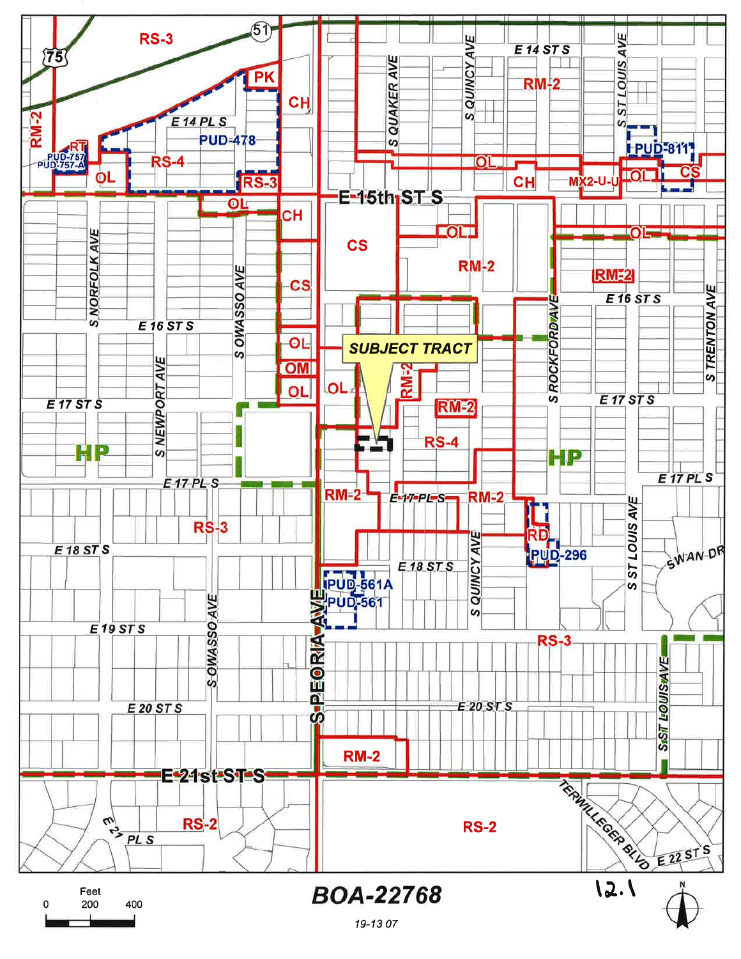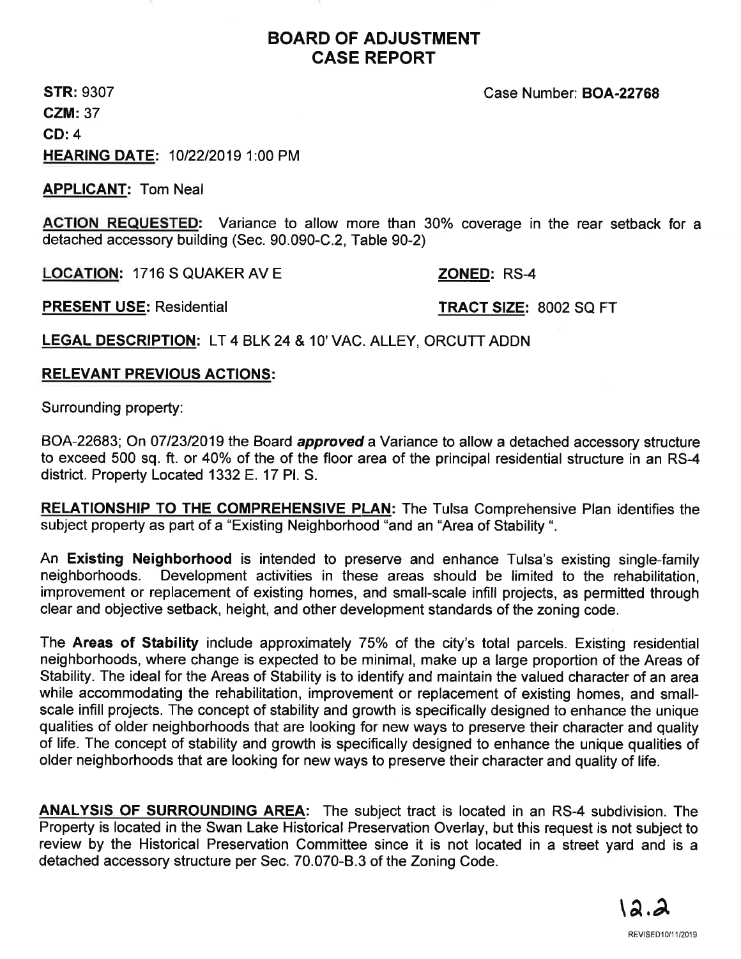# BOARD OF ADJUSTMENT CASE REPORT

STR: 9307 CZM:37 CD:4 HEARING DATE: 1012212019 1:00 PM Case Number: BOA-22768

APPLICANT: Tom Neal

ACTION REQUESTED: Variance to allow more than 30% coverage in the rear setback for <sup>a</sup> detached accessory building (Sec. 90.090-C.2, Table 90-2)

LOCATION: 1716 S QUAKER AV E

ZONED: RS-4

PRESENT USE: Residential TRACT SIZE: 8002 SQ FT

LEGAL DESCRIPTION: LT 4 BLK 24 & 10' VAC. ALLEY, ORCUTT ADDN

## RELEVANT PREVIOUS ACTIONS:

Surrounding property:

BOA-22683; On 07/23/2019 the Board approved a Variance to allow a detached accessory structure to exceed 500 sq. ft. or 40% of the of the floor area of the principal residential structure in an RS-4 district. Property Located 1332 E.17 Pl. S.

RELATIONSHIP TO THE COMPREHENSIVE PLAN: The Tulsa Comprehensive Plan identifies the subject property as part of a "Existing Neighborhood "and an "Area of Stability ".

An Existing Neighborhood is intended to preserve and enhance Tulsa's existing single-family neighborhoods. Development activities in these areas should be limited to the rehabilitation, improvement or replacement of existing homes, and small-scale infill projects, as permitted through clear and objective setback, height, and other development standards of the zoning code.

The Areas of Stability include approximately 75% of the city's total parcels. Existing residential neighborhoods, where change is expected to be minimal, make up a large proportion of the Areas of Stability. The ideal for the Areas of Stability is to identify and maintain the valued character of an area while accommodating the rehabilitation, improvement or replacement of existing homes, and smallscale infill projects. The concept of stability and growth is specifically designed to enhance the unique qualities of older neighborhoods that are looking for new ways to preserve their character and quality of life. The concept of stability and growth is specifically designed to enhance the unique qualities of older neighborhoods that are looking for new ways to preserve their character and quality of life.

ANALYSIS OF SURROUNDING AREA: The subject tract is located in an RS-4 subdivision. The Property is located in the Swan Lake Historical Preservation Overlay, but this request is not subject to review by the Historical Preservation Committee since it is not located in a street yard and is a detached accessory structure per Sec. 70.070-8.3 of the Zoning Code.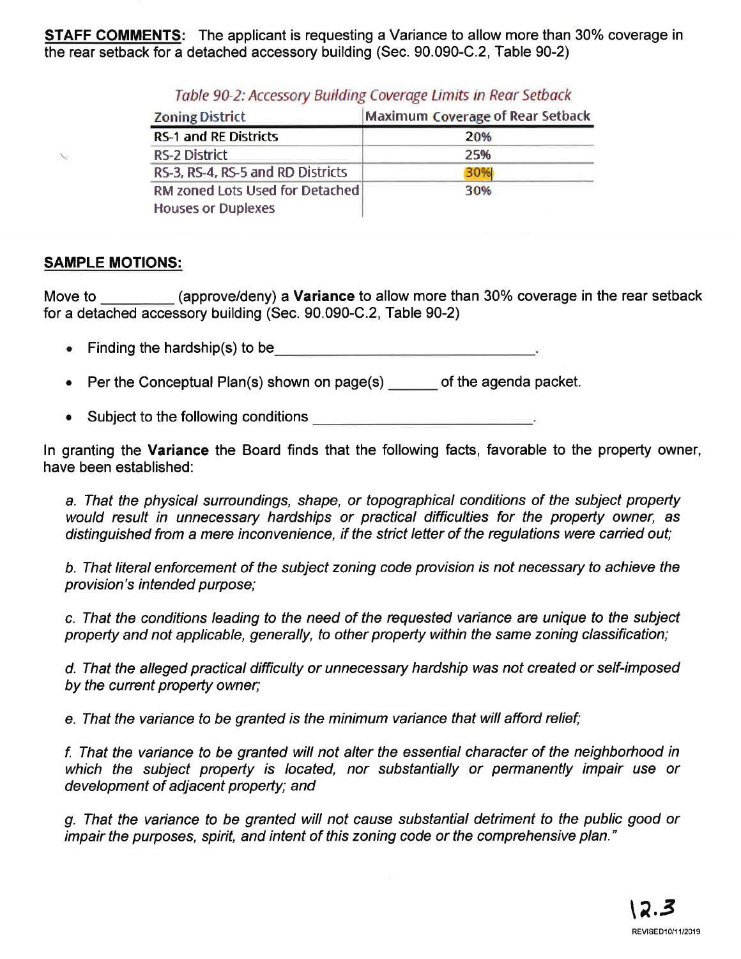**STAFF COMMENTS:** The applicant is requesting a Variance to allow more than 30% coverage in the rear setback for a detached accessory building (Sec. 90.090-C.2,Table 90-2)

| <b>Zoning District</b>                                       | <b>Maximum Coverage of Rear Setback</b> |
|--------------------------------------------------------------|-----------------------------------------|
| <b>RS-1 and RE Districts</b>                                 | 20%                                     |
| <b>RS-2 District</b>                                         | 25%                                     |
| RS-3, RS-4, RS-5 and RD Districts                            | 30%                                     |
| RM zoned Lots Used for Detached<br><b>Houses or Duplexes</b> | 30%                                     |

Table 90-2: Accessory Building Coverage Limits in Rear Setback

## SAMPLE MOTIONS:

 $\checkmark$ 

Move to (approve/deny) a **Variance** to allow more than 30% coverage in the rear setback for a detached accessory building (Sec. 90.090-C.2, Table 90-2)

- Finding the hardship(s) to be
- Per the Conceptual Plan(s) shown on page(s) \_\_\_\_\_\_ of the agenda packet. a
- Subject to the following conditions a

ln granting the Variance the Board finds that the following facts, favorable to the property owner, have been established:

a. That the physical surroundings, shape, or topographical conditions of the subject property would result in unnecessary hardships or practical difficulties for the property owner, as distinguished from a mere inconvenience, if the strict letter of the regulations were carried out;

b. That líteral enforcement of the subject zoning code provision ís not necessary to achieve the provision's intended purpose;

c. That the conditions leading to the need of the requested variance are unique to the subject property and not applicable, generally, to other property within the same zoning classification;

d. That the alleged practical difficulty or unnecessary hardship was not created or self-imposed by the current property owner;

e. That the variance to be granted is the minimum variance that will afford relief;

f. That the variance to be granted wíll not alter fhe essential character of the neighborhood in which the subject property is located, nor substantially or permanently impair use or development of adjacent property; and

g. That the variance to be granted will not cause substantial detriment to the public good or impair the purposes, spirit, and intent of this zoning code or the comprehensive plan."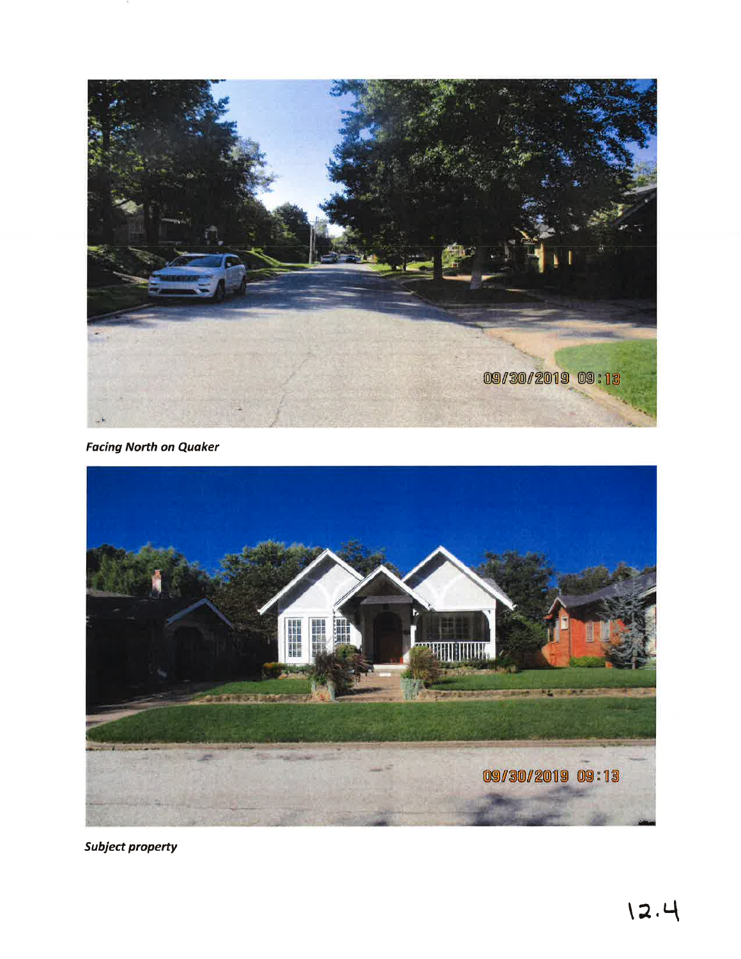

**Facing North on Quaker** 



**Subject property**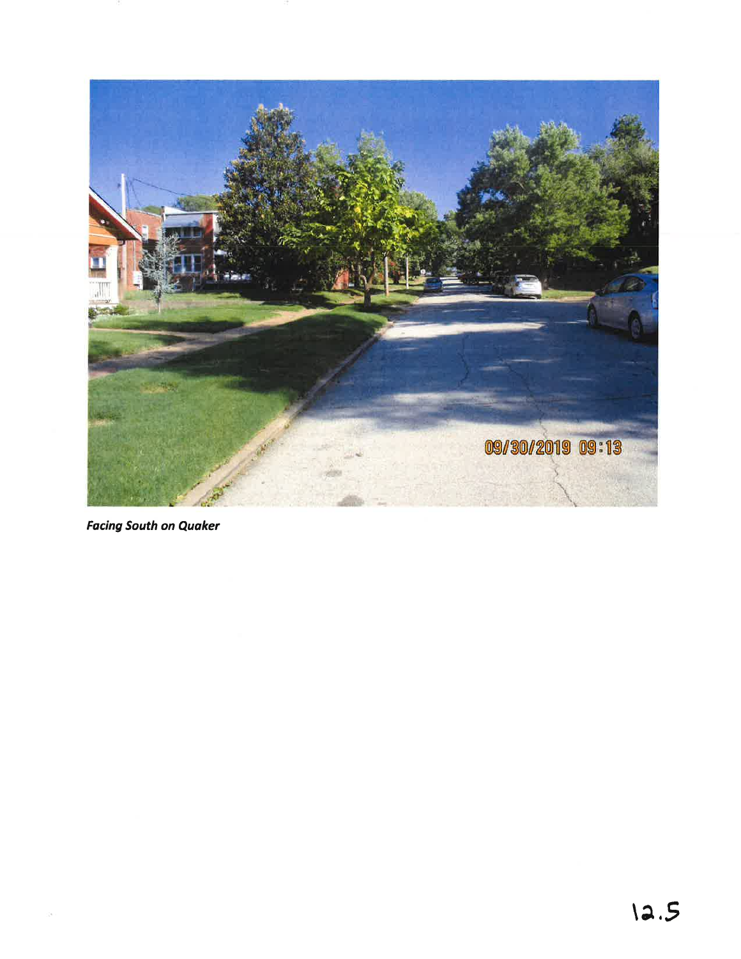

**Facing South on Quaker**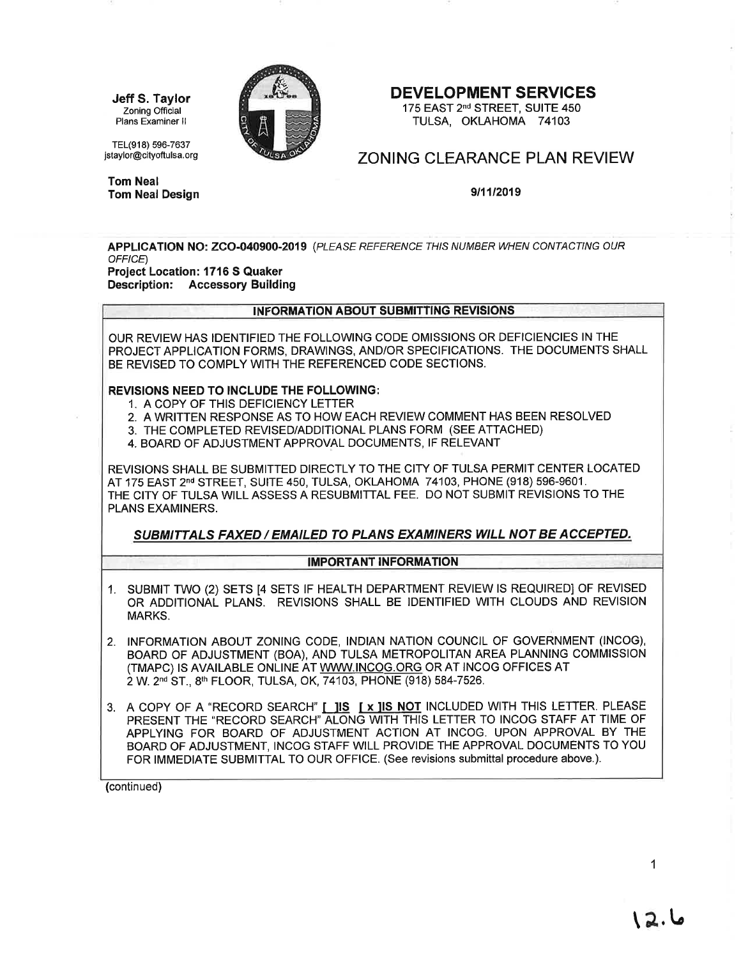Jeff S. Taylor Zoning Official Plans Examiner ll

TEL(918) 596-7637 jstaylor@cityoftulsa. org

Tom Neal



### DEVELOPMENT SERVICES

175 EAST 2<sup>nd</sup> STREET, SUITE 450 TULSA, OKLAHOMA 74103

## ZONING CLEARANCE PLAN REVIEW

Tom NealDesign 9t11t2019

APPLICATION NO: ZCO-040900-2019 (PLEASE REFERENCE THIS NUMBER WHEN CONTACTING OUR OFFICE)

Project Location: 1716 S Quaker Description: Accessory Building

# <u>IFORMATION ABOUT SUBMITTING REVISIONS</u>

OUR REVIEW HAS IDENTIFIED THE FOLLOWNG CODE OMISSIONS OR DEFICIENCIES IN THE PROJECTAPPLICATION FORMS, DRAWNGS, AND/OR SPECIFICATIONS. THE DOCUMENTS SHALL BE REVISED TO COMPLY WITH THE REFERENCED CODE SECTIONS.

#### REVISIONS NEED TO INCLUDE THE FOLLOWING:

- 1. A COPY OF THIS DEFICIENCY LETTER
- 2. A WRITTEN RESPONSE AS TO HOW EACH REVIEW COMMENT HAS BEEN RESOLVED
- 3. THE COMPLETED REVISED/ADDITIONAL PLANS FORM (SEE ATTACHED)
- 4. BOARD OF ADJUSTMENT APPROVAL DOCUMENTS, IF RELEVANT

REVISIONS SHALL BE SUBMITTED DIRECTLY TO THE CITY OF TULSA PERMIT CENTER LOCATED AT 175 EAST 2<sup>nd</sup> STREET, SUITE 450, TULSA, OKLAHOMA 74103, PHONE (918) 596-9601. THE CITY OF TULSA WLL ASSESS A RESUBMITTAL FEE. DO NOT SUBMIT REVISIONS TO THE PLANS EXAMINERS.

### SUBMITTALS FAXED / EMAILED TO PLANS EXAMINERS WILL NOT BE ACCEPTED,

#### **IMPORTANT INFORMATION**

- 1. SUBMIT TWO (2) SETS [4 SETS IF HEALTH DEPARTMENT REVIEW IS REQUIRED] OF REVISED OR ADDITIONAL PLANS. REVISIONS SHALL BE IDENTIFIED WITH CLOUDS AND REVISION MARKS.
- 2. INFORMATION ABOUT ZONING CODE, INDIAN NATION COUNCIL OF GOVERNMENT (INCOG), BOARD OF ADJUSTMENT (BOA), AND TULSA METROPOLITAN AREA PLANNING COMMISSION (TMAPC) IS AVAILABLE ONLINE AT WWW.INCOG.ORG OR AT INCOG OFFICES AT 2W.2nd ST.,8th FLOOR, TULSA, OK,74103, PHONE (918) 584-7526.
- 3. A COPY OF A "RECORD SEARCH" [ ]IS [ x ]IS NOT INCLUDED WITH THIS LETTER. PLEASE PRESENT THE "RECORD SEARCH" ALONG WITH THIS LETTER TO INCOG STAFF AT TIME OF APPLYING FOR BOARD OF ADJUSTMENT ACTION AT INCOG. UPON APPROVAL BY THE BOARD OF ADJUSTMENT, INCOG STAFF WILL PROVIDE THE APPROVAL DOCUMENTS TO YOU FOR IMMEDIATE SUBMITTAL TO OUR OFFICE. (See revisions submittal procedure above.).

(continued)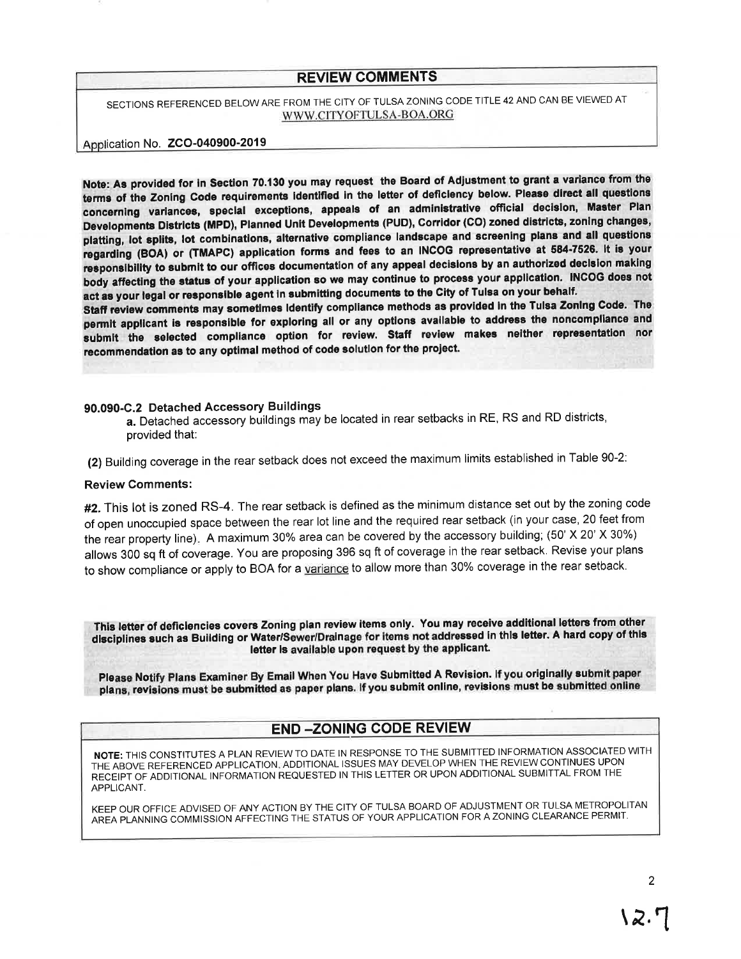### **REVIEW COMMENTS**

SECTIONS REFERENCED BELOW ARE FROM THE CITY OF TULSA ZONING CODE TITLE 42 AND CAN BE VIEWED AT WWW.CITYOFTULSA-BOA.ORG

### Application No. ZCO-040900-2019

Note: As provided for in Section 70.130 you may request the Board of Adjustment to grant a variance from the terms of the Zoning Code requirements identified in the letter of deficiency below. Please direct all questions concerning variances, special exceptions, appeals of an administrative official decision, Master Plan Developments Districts (MPD), Planned Unit Developments (PUD), Corridor (CO) zoned districts, zoning changes, platting, lot splits, lot combinations, alternative compliance landscape and screening plans and all questions regarding (BOA) or (TMAPC) application forms and fees to an INCOG representative at 584-7526. It is your responsibility to submit to our offices documentation of any appeal decisions by an authorized decision making body affecting the status of your application so we may continue to process your application. INCOG does not act as your legal or responsible agent in submitting documents to the City of Tulsa on your behalf.

Staff review comments may sometimes Identify compliance methods as provided in the Tulsa Zoning Code. The permit applicant is responsible for exploring all or any options available to address the noncompliance and submit the selected compliance option for review. Staff review makes neither representation nor recommendation as to any optimal method of code solution for the project.

### 90.090-C.2 Detached Accessory Buildings

a. Detached accessory buildings may be located in rear setbacks in RE, RS and RD districts, provided that:

(2) Building coverage in the rear setback does not exceed the maximum limits established in Table 90-2:

#### **Review Comments:**

#2. This lot is zoned RS-4. The rear setback is defined as the minimum distance set out by the zoning code of open unoccupied space between the rear lot line and the required rear setback (in your case, 20 feet from the rear property line). A maximum 30% area can be covered by the accessory building; (50' X 20' X 30%) allows 300 sq ft of coverage. You are proposing 396 sq ft of coverage in the rear setback. Revise your plans to show compliance or apply to BOA for a variance to allow more than 30% coverage in the rear setback.

This letter of deficiencies covers Zoning plan review items only. You may receive additional letters from other disciplines such as Building or Water/Sewer/Drainage for items not addressed in this letter. A hard copy of this letter is available upon request by the applicant.

Please Notify Plans Examiner By Email When You Have Submitted A Revision. If you originally submit paper plans, revisions must be submitted as paper plans. If you submit online, revisions must be submitted online

## **END-ZONING CODE REVIEW**

NOTE: THIS CONSTITUTES A PLAN REVIEW TO DATE IN RESPONSE TO THE SUBMITTED INFORMATION ASSOCIATED WITH THE ABOVE REFERENCED APPLICATION, ADDITIONAL ISSUES MAY DEVELOP WHEN THE REVIEW CONTINUES UPON RECEIPT OF ADDITIONAL INFORMATION REQUESTED IN THIS LETTER OR UPON ADDITIONAL SUBMITTAL FROM THE APPLICANT.

KEEP OUR OFFICE ADVISED OF ANY ACTION BY THE CITY OF TULSA BOARD OF ADJUSTMENT OR TULSA METROPOLITAN AREA PLANNING COMMISSION AFFECTING THE STATUS OF YOUR APPLICATION FOR A ZONING CLEARANCE PERMIT.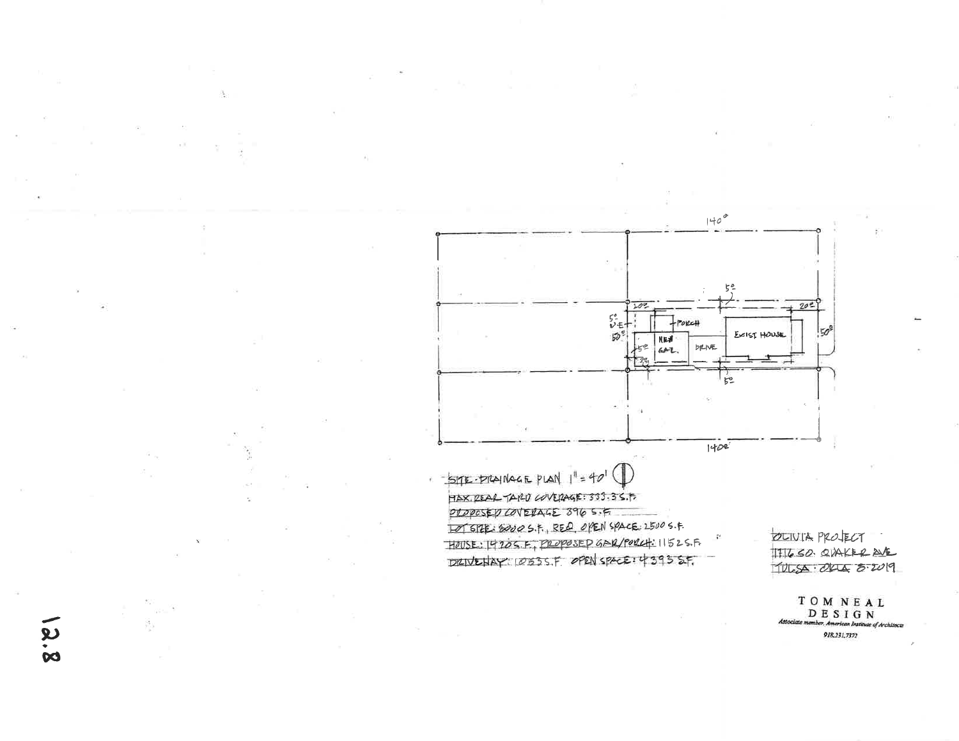![](_page_7_Figure_0.jpeg)

THESO OVAKER AF  $1122 - 044 - 5 - 2019$ 

 $\begin{array}{c} T\ \ O\ \ M\ \ N\ \ E\ \ A\ \ L\\ \hspace{0.5cm}D\ \ E\ \ S\ \ I\ \ G\ \ N\\ \hspace{0.6cm}\text{Since member, American Institute of Architecture} \end{array}$ 918,231,7372

 $8.8$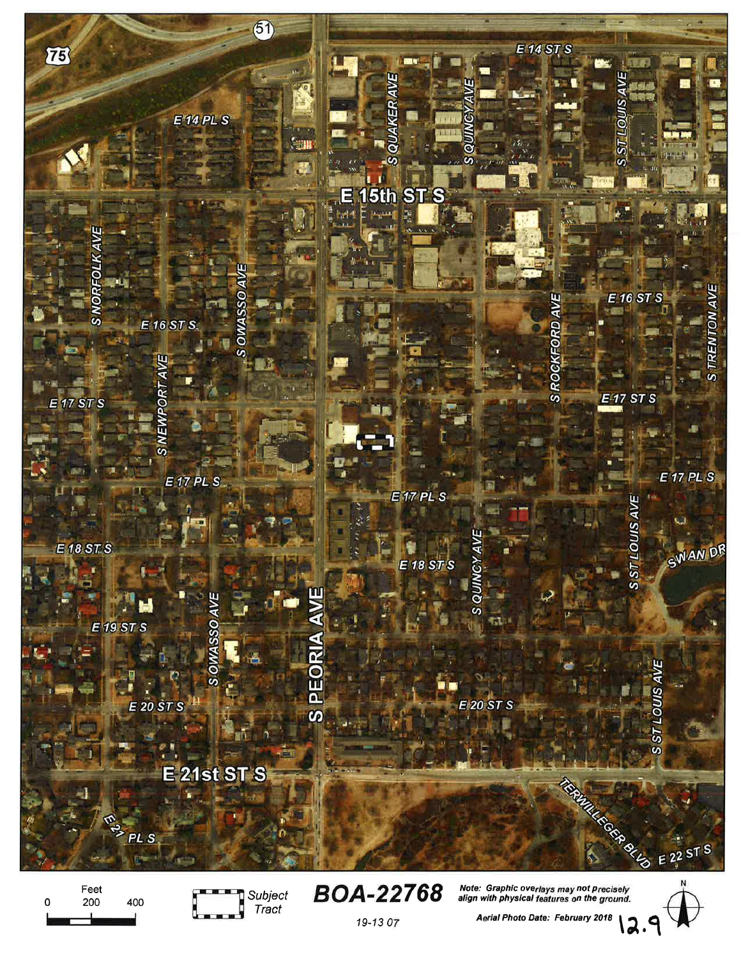![](_page_8_Picture_0.jpeg)

Feet 200  $\mathbf 0$ 400

![](_page_8_Picture_2.jpeg)

**BOA-22768** 

![](_page_8_Picture_5.jpeg)

19-13 07